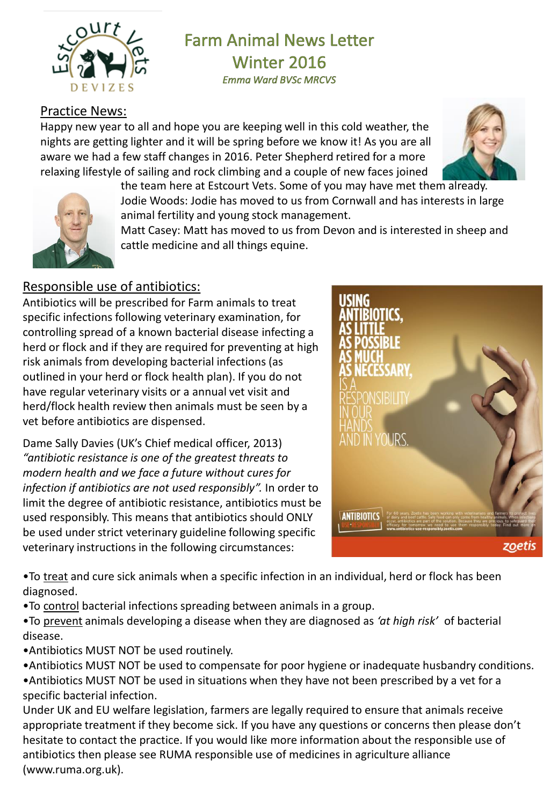

# **Farm Animal News Letter** Winter 2016

**Emma Ward BVSc MRCVS** 

## Practice News:

Happy new year to all and hope you are keeping well in this cold weather, the nights are getting lighter and it will be spring before we know it! As you are all aware we had a few staff changes in 2016. Peter Shepherd retired for a more relaxing lifestyle of sailing and rock climbing and a couple of new faces joined





the team here at Estcourt Vets. Some of you may have met them already. Jodie Woods: Jodie has moved to us from Cornwall and has interests in large animal fertility and young stock management.

Matt Casey: Matt has moved to us from Devon and is interested in sheep and cattle medicine and all things equine.

### Responsible use of antibiotics:

Antibiotics will be prescribed for Farm animals to treat specific infections following veterinary examination, for controlling spread of a known bacterial disease infecting a herd or flock and if they are required for preventing at high risk animals from developing bacterial infections (as outlined in your herd or flock health plan). If you do not have regular veterinary visits or a annual vet visit and herd/flock health review then animals must be seen by a vet before antibiotics are dispensed.

Dame Sally Davies (UK's Chief medical officer, 2013) *"antibiotic resistance is one of the greatest threats to modern health and we face a future without cures for infection if antibiotics are not used responsibly".* In order to limit the degree of antibiotic resistance, antibiotics must be used responsibly. This means that antibiotics should ONLY be used under strict veterinary guideline following specific veterinary instructions in the following circumstances:



• To treat and cure sick animals when a specific infection in an individual, herd or flock has been diagnosed.

•To control bacterial infections spreading between animals in a group.

•To prevent animals developing a disease when they are diagnosed as *'at high risk'* of bacterial disease.

- •Antibiotics MUST NOT be used routinely.
- •Antibiotics MUST NOT be used to compensate for poor hygiene or inadequate husbandry conditions.

•Antibiotics MUST NOT be used in situations when they have not been prescribed by a vet for a specific bacterial infection.

Under UK and EU welfare legislation, farmers are legally required to ensure that animals receive appropriate treatment if they become sick. If you have any questions or concerns then please don't hesitate to contact the practice. If you would like more information about the responsible use of antibiotics then please see RUMA responsible use of medicines in agriculture alliance (www.ruma.org.uk).